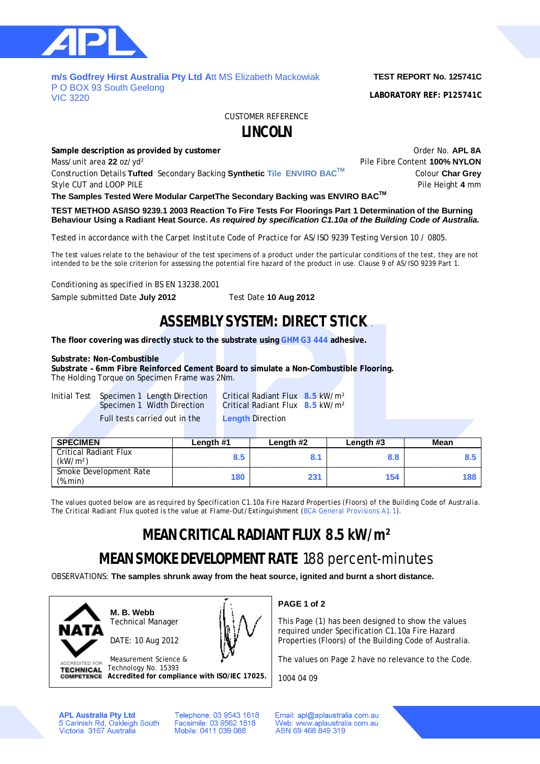

### **m/s Godfrey Hirst Australia Pty Ltd A**tt MS Elizabeth Mackowiak P O BOX 93 South Geelong VIC 3220

**TEST REPORT No. 125741C**

**LABORATORY REF: P125741C**

CUSTOMER REFERENCE

## **LINCOLN**

**Sample description as provided by customer COVID-100 COVID-100 COVID-100 COVID-100 COVID-100 COVID-100 COVID-100 COVID-100 COVID-100 COVID-100 COVID-100 COVID-100 COVID-100 COVID-100 COVID-100 COVID-100 COVID-100 COVID-**Mass/unit area 22 oz/yd<sup>2</sup> and the extent of the Pile Fibre Content **100% NYLON** Construction Details **Tufted** Secondary Backing **Synthetic Tile ENVIRO BACTM** Colour **Char Grey** Style CUT and LOOP PILE **Pile Height 4** mm

**The Samples Tested Were Modular CarpetThe Secondary Backing was ENVIRO BACTM**

**TEST METHOD AS/ISO 9239.1 2003 Reaction To Fire Tests For Floorings Part 1 Determination of the Burning Behaviour Using a Radiant Heat Source.** *As required by specification C1.10a of the Building Code of Australia.*

*Tested in accordance with the Carpet Institute Code of Practice for AS/ISO 9239 Testing Version 10 / 0805.*

The test values relate to the behaviour of the test specimens of a product under the particular conditions of the test, they are not intended to be the sole criterion for assessing the potential fire hazard of the product in use. Clause 9 of AS/ISO 9239 Part 1.

Conditioning as specified in BS EN 13238.2001

Sample submitted Date **July 2012** Test Date **10 Aug 2012**

## **ASSEMBLY SYSTEM: DIRECT STICK** .

**The floor covering was directly stuck to the substrate using GHM G3 444 adhesive.**

## **Substrate: Non-Combustible**

**Substrate – 6mm Fibre Reinforced Cement Board to simulate a Non-Combustible Flooring.** The Holding Torque on Specimen Frame was 2Nm.

Initial Test Specimen 1 Length Direction Critical Radiant Flux **8.5** kW/m² Full tests carried out in the **Length** Direction

Critical Radiant Flux **8.5** kW/m<sup>2</sup>

| <b>SPECIMEN</b>                               | Length #1 | Length #2 | Length #3 | <b>Mean</b> |
|-----------------------------------------------|-----------|-----------|-----------|-------------|
| Critical Radiant Flux<br>(kW/m <sup>2</sup> ) | 8.5       | 8.1       | 8.8       |             |
| Smoke Development Rate<br>(%.min)             | 180       | 231       | 154       | 188         |

*The values quoted below are as required by Specification C1.10a Fire Hazard Properties (Floors) of the Building Code of Australia. The Critical Radiant Flux quoted is the value at Flame-Out/Extinguishment (BCA General Provisions A1.1).*

# **MEAN CRITICAL RADIANT FLUX 8.5 kW/m²**

# **MEAN SMOKE DEVELOPMENT RATE** 188 percent-minutes

OBSERVATIONS: **The samples shrunk away from the heat source, ignited and burnt a short distance.**



**M. B. Webb** Technical Manager

DATE: 10 Aug 2012



Measurement Science & **ACCREDITED FOR** Technology No. 15393 **TECHNICAL Accredited for compliance with ISO/IEC 17025.** **PAGE 1 of 2**

This Page (1) has been designed to show the values required under Specification C1.10a Fire Hazard Properties (Floors) of the Building Code of Australia.

The values on Page 2 have no relevance to the Code.

1004 04 09

**APL Australia Pty Ltd** 5 Carinish Rd, Oakleigh South<br>Victoria 3167 Australia Telephone: 03 9543 1618 Facsimile: 03 9562 1818 Mobile: 0411 039 088

Email: apl@aplaustralia.com.au Web: www.aplaustralia.com.au ABN 69 468 849 319